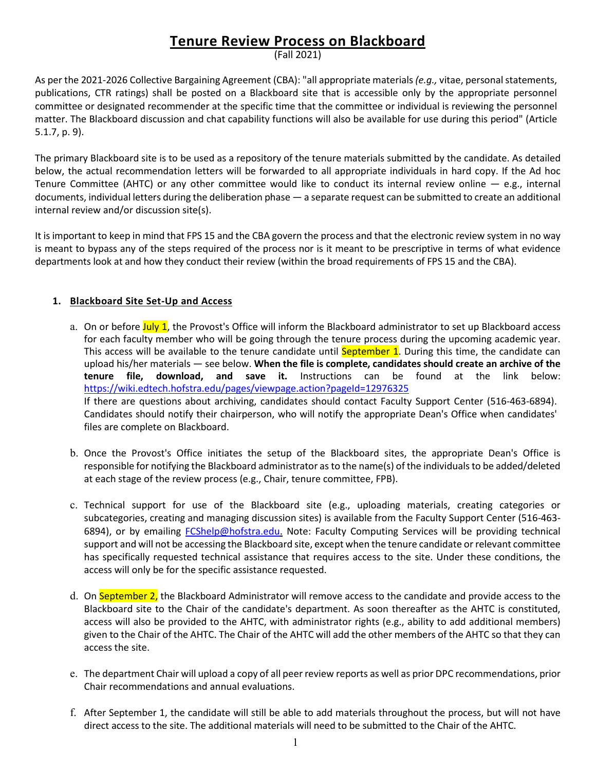# **Tenure Review Process on Blackboard**

(Fall 2021)

As per the 2021-2026 Collective Bargaining Agreement (CBA): "all appropriate materials *(e.g.,* vitae, personal statements, publications, CTR ratings) shall be posted on a Blackboard site that is accessible only by the appropriate personnel committee or designated recommender at the specific time that the committee or individual is reviewing the personnel matter. The Blackboard discussion and chat capability functions will also be available for use during this period" (Article 5.1.7, p. 9).

The primary Blackboard site is to be used as a repository of the tenure materials submitted by the candidate. As detailed below, the actual recommendation letters will be forwarded to all appropriate individuals in hard copy. If the Ad hoc Tenure Committee (AHTC) or any other committee would like to conduct its internal review online  $-$  e.g., internal documents, individual letters during the deliberation phase — a separate request can be submitted to create an additional internal review and/or discussion site(s).

It is important to keep in mind that FPS 15 and the CBA govern the process and that the electronic review system in no way is meant to bypass any of the steps required of the process nor is it meant to be prescriptive in terms of what evidence departments look at and how they conduct their review (within the broad requirements of FPS 15 and the CBA).

## **1. Blackboard Site Set-Up and Access**

- a. On or before July 1, the Provost's Office will inform the Blackboard administrator to set up Blackboard access for each faculty member who will be going through the tenure process during the upcoming academic year. This access will be available to the tenure candidate until **September 1**. During this time, the candidate can upload his/her materials — see below. **When the file is complete, candidates should create an archive of the tenure file, download, and save it.** Instructions can be found at the link below: [https://wiki.edtech.hofstra.edu/pages/viewpage.action?pageId=12976325](https://na01.safelinks.protection.outlook.com/?url=https%3A%2F%2Fwiki.edtech.hofstra.edu%2Fpages%2Fviewpage.action%3FpageId%3D12976325&data=02%7C01%7CChristine.M.Jenkinson%40hofstra.edu%7C9b095b2c3d5f4ec0e56208d63503a39b%7Ce32fc43d7c6246d9b49fcd53ba8d9424%7C0%7C0%7C636754687078293972&sdata=PJ3lEtqfyw1aNqPADjAMEuFPPzgSNqZYtX6fMY6PPfY%3D&reserved=0) If there are questions about archiving, candidates should contact Faculty Support Center (516-463-6894). Candidates should notify their chairperson, who will notify the appropriate Dean's Office when candidates' files are complete on Blackboard.
- b. Once the Provost's Office initiates the setup of the Blackboard sites, the appropriate Dean's Office is responsible for notifying the Blackboard administrator as to the name(s) of the individuals to be added/deleted at each stage of the review process (e.g., Chair, tenure committee, FPB).
- c. Technical support for use of the Blackboard site (e.g., uploading materials, creating categories or subcategories, creating and managing discussion sites) is available from the Faculty Support Center (516-463- 6894), or by emailing [FCShelp@hofstra.edu.](mailto:FCShelp@hofstra.edu) Note: Faculty Computing Services will be providing technical support and will not be accessing the Blackboard site, except when the tenure candidate or relevant committee has specifically requested technical assistance that requires access to the site. Under these conditions, the access will only be for the specific assistance requested.
- d. On September 2, the Blackboard Administrator will remove access to the candidate and provide access to the Blackboard site to the Chair of the candidate's department. As soon thereafter as the AHTC is constituted, access will also be provided to the AHTC, with administrator rights (e.g., ability to add additional members) given to the Chair of the AHTC. The Chair of the AHTC will add the other members of the AHTC so that they can access the site.
- e. The department Chair will upload a copy of all peer review reports as well as prior DPC recommendations, prior Chair recommendations and annual evaluations.
- f. After September 1, the candidate will still be able to add materials throughout the process, but will not have direct access to the site. The additional materials will need to be submitted to the Chair of the AHTC.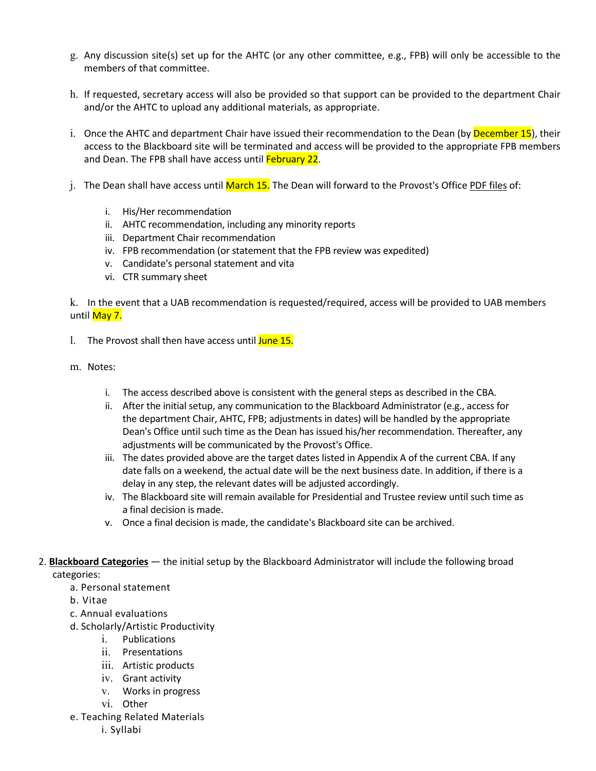- g. Any discussion site(s) set up for the AHTC (or any other committee, e.g., FPB) will only be accessible to the members of that committee.
- h. If requested, secretary access will also be provided so that support can be provided to the department Chair and/or the AHTC to upload any additional materials, as appropriate.
- i. Once the AHTC and department Chair have issued their recommendation to the Dean (by December 15), their access to the Blackboard site will be terminated and access will be provided to the appropriate FPB members and Dean. The FPB shall have access until February 22.
- j. The Dean shall have access until March 15. The Dean will forward to the Provost's Office PDF files of:
	- i. His/Her recommendation
	- ii. AHTC recommendation, including any minority reports
	- iii. Department Chair recommendation
	- iv. FPB recommendation (or statement that the FPB review was expedited)
	- v. Candidate's personal statement and vita
	- vi. CTR summary sheet

k. In the event that a UAB recommendation is requested/required, access will be provided to UAB members until May 7.

- 1. The Provost shall then have access until June 15.
- m. Notes:
	- i. The access described above is consistent with the general steps as described in the CBA.
	- ii. After the initial setup, any communication to the Blackboard Administrator (e.g., access for the department Chair, AHTC, FPB; adjustments in dates) will be handled by the appropriate Dean's Office until such time as the Dean has issued his/her recommendation. Thereafter, any adjustments will be communicated by the Provost's Office.
	- iii. The dates provided above are the target dates listed in Appendix A of the current CBA. If any date falls on a weekend, the actual date will be the next business date. In addition, if there is a delay in any step, the relevant dates will be adjusted accordingly.
	- iv. The Blackboard site will remain available for Presidential and Trustee review until such time as a final decision is made.
	- v. Once a final decision is made, the candidate's Blackboard site can be archived.
- 2. **Blackboard Categories** the initial setup by the Blackboard Administrator will include the following broad categories:
	- a. Personal statement
	- b. Vitae
	- c. Annual evaluations
	- d. Scholarly/Artistic Productivity
		- i. Publications
		- ii. Presentations
		- iii. Artistic products
		- iv. Grant activity
		- v. Works in progress
		- vi. Other
	- e. Teaching Related Materials

i. Syllabi